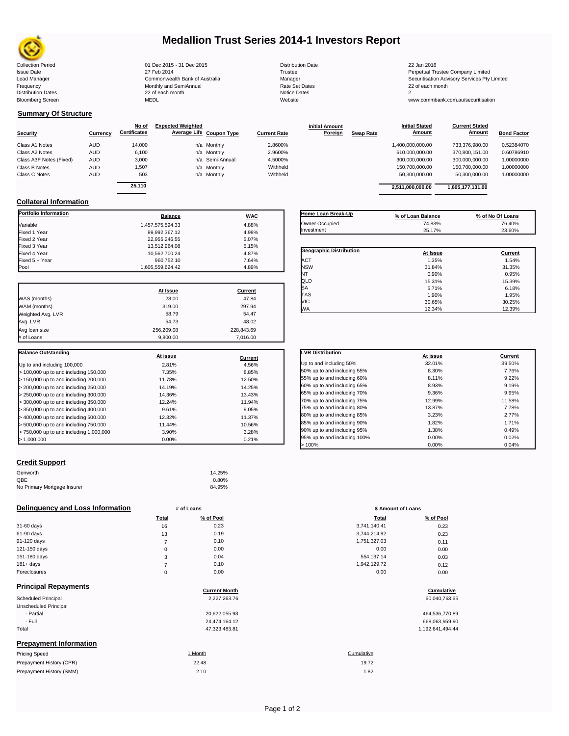

## **Medallion Trust Series 2014-1 Investors Report**

| <b>Collection Period</b>  | 01 Dec 2015 - 31 Dec 2015      | <b>Distribution Date</b> | 22 Jan 2016                             |
|---------------------------|--------------------------------|--------------------------|-----------------------------------------|
| <b>Issue Date</b>         | 27 Feb 2014                    | Trustee                  | Perpetual Trustee Company Limited       |
| Lead Manager              | Commonwealth Bank of Australia | Manager                  | Securitisation Advisory Services Pty Li |
| Frequency                 | Monthly and SemiAnnual         | Rate Set Dates           | 22 of each month                        |
| <b>Distribution Dates</b> | 22 of each month               | Notice Dates             |                                         |
| <b>Bloomberg Screen</b>   | <b>MEDL</b>                    | Website                  | www.commbank.com.au/securitisation      |
|                           |                                |                          |                                         |

## **Summary Of Structure**

**Collateral Information**

|                         |            | No of               | <b>Expected Weighted</b> |                 |                     | <b>Initial Amount</b> |                  | <b>Initial Stated</b> | <b>Current Stated</b> |                    |
|-------------------------|------------|---------------------|--------------------------|-----------------|---------------------|-----------------------|------------------|-----------------------|-----------------------|--------------------|
| <b>Security</b>         | Currency   | <b>Certificates</b> | Average Life Coupon Type |                 | <b>Current Rate</b> | Foreign               | <b>Swap Rate</b> | <b>Amount</b>         | <b>Amount</b>         | <b>Bond Factor</b> |
| Class A1 Notes          | <b>AUD</b> | 14,000              |                          | n/a Monthly     | 2.8600%             |                       |                  | 1,400,000,000.00      | 733.376.980.00        | 0.52384070         |
| Class A2 Notes          | <b>AUD</b> | 6,100               |                          | n/a Monthly     | 2.9600%             |                       |                  | 610,000,000.00        | 370,800,151.00        | 0.60786910         |
| Class A3F Notes (Fixed) | <b>AUD</b> | 3,000               |                          | n/a Semi-Annual | 4.5000%             |                       |                  | 300,000,000.00        | 300.000.000.00        | 1.00000000         |
| Class B Notes           | <b>AUD</b> | 1,507               |                          | n/a Monthly     | Withheld            |                       |                  | 150.700.000.00        | 150.700.000.00        | 1.00000000         |
| Class C Notes           | <b>AUD</b> | 503                 |                          | n/a Monthly     | Withheld            |                       |                  | 50.300.000.00         | 50.300.000.00         | 1.00000000         |
|                         |            | 0.5440              |                          |                 |                     |                       |                  |                       |                       |                    |

**Portfolio Information**<br> **Balance Balance WAC** Variable 1,457,575,594.33 4.88% Fixed 1 Year 99,992,367.12 4.98% Fixed 2 Year 22,955,246.55 5.07% Fixed 3 Year 13,512,964.08 5.15%

Fixed 5 + Year 960,752.10 7.64%

| 25.110           |            |                                | 2,511,000,000.00  | 1,605,177,131.00 |
|------------------|------------|--------------------------------|-------------------|------------------|
| <b>Balance</b>   | <b>WAC</b> | Home Loan Break-Up             | % of Loan Balance | % of No Of Loans |
| 1,457,575,594.33 | 4.88%      | Owner Occupied                 | 74.83%            | 76.40%           |
| 99,992,367.12    | 4.98%      | Investment                     | 25.17%            | 23.60%           |
| 22.955.246.55    | 5.07%      |                                |                   |                  |
| 13,512,964.08    | 5.15%      |                                |                   |                  |
| 10.562.700.24    | 4.87%      | <b>Geographic Distribution</b> | At Issue          | Current          |
| 960.752.10       | 7.64%      | ACT                            | 1.35%             | 1.54%            |
| 1,605,559,624.42 | 4.89%      | <b>NSW</b>                     | 31.84%            | 31.35%           |
|                  |            | NT                             | 0.90%             | 0.95%            |
|                  |            | QLD                            | 15.31%            | 15.39%           |
| At Incurs        | $P$        | <b>SA</b>                      | 5.71%             | 6.18%            |

TAS 1.90% 1.95% VIC 30.65% 30.25% WA 12.34% 12.39%

|                             | At Issue   | Current    |
|-----------------------------|------------|------------|
| WAS (months)                | 28.00      | 47.84      |
| WAM (months)                | 319.00     | 297.94     |
| Weighted Avg. LVR           | 58.79      | 54.47      |
| Avg. LVR                    | 54.73      | 48.02      |
| Avg loan size               | 256,209.08 | 228,843.69 |
| # of Loans                  | 9.800.00   | 7.016.00   |
|                             |            |            |
| <b>Balance Outstanding</b>  | At issue   | Current    |
| Up to and including 100,000 | 2.81%      | 4.56%      |

| Up to and including 100,000             | 2.81%  | 4.56%  |
|-----------------------------------------|--------|--------|
| $>$ 100,000 up to and including 150,000 | 7.35%  | 8.85%  |
| $> 150,000$ up to and including 200,000 | 11.78% | 12.50% |
| $>$ 200,000 up to and including 250,000 | 14.19% | 14.25% |
| $>$ 250,000 up to and including 300,000 | 14.36% | 13.43% |
| $>$ 300,000 up to and including 350,000 | 12.24% | 11.94% |
| $>$ 350,000 up to and including 400,000 | 9.61%  | 9.05%  |
| $>$ 400,000 up to and including 500,000 | 12.32% | 11.37% |
| $>$ 500,000 up to and including 750,000 | 11.44% | 10.56% |
| > 750,000 up to and including 1,000,000 | 3.90%  | 3.28%  |
| > 1,000,000                             | 0.00%  | 0.21%  |
|                                         |        |        |

### **Credit Support**

Prepayment History (SMM)

| Genworth                    | 14.25% |
|-----------------------------|--------|
| QBE                         | 0.80%  |
| No Primary Mortgage Insurer | 84.95% |

## **Delinquency and Loss Information # of Loans # of Loans \$** Amount of Loans

|              | Total       | % of Pool | Total        | % of Pool |
|--------------|-------------|-----------|--------------|-----------|
| 31-60 days   | 16          | 0.23      | 3,741,140.41 | 0.23      |
| 61-90 days   | 13          | 0.19      | 3,744,214.92 | 0.23      |
| 91-120 days  |             | 0.10      | 1,751,327.03 | 0.11      |
| 121-150 days | $\mathbf 0$ | 0.00      | 0.00         | 0.00      |
| 151-180 days | 3           | 0.04      | 554.137.14   | 0.03      |
| $181 + days$ |             | 0.10      | 1,942,129.72 | 0.12      |
| Foreclosures | $\Omega$    | 0.00      | 0.00         | 0.00      |
|              |             |           |              |           |

| <b>Principal Repayments</b>   | <b>Current Month</b> | Cumulative       |
|-------------------------------|----------------------|------------------|
| Scheduled Principal           | 2,227,263.76         | 60,040,763.65    |
| Unscheduled Principal         |                      |                  |
| - Partial                     | 20,622,055.93        | 464,536,770.89   |
| - Full                        | 24.474.164.12        | 668,063,959.90   |
| Total                         | 47,323,483.81        | 1,192,641,494.44 |
| <b>Prepayment Information</b> |                      |                  |
| <b>Pricing Speed</b>          | 1 Month              | Cumulative       |
| Prepayment History (CPR)      | 22.48                | 19.72            |

| <b>LVR Distribution</b>      | At issue | Current |
|------------------------------|----------|---------|
| Up to and including 50%      | 32.01%   | 39.50%  |
| 50% up to and including 55%  | 8.30%    | 7.76%   |
| 55% up to and including 60%  | 8.11%    | 9.22%   |
| 60% up to and including 65%  | 8.93%    | 9.19%   |
| 65% up to and including 70%  | 9.36%    | 9.95%   |
| 70% up to and including 75%  | 12.99%   | 11.58%  |
| 75% up to and including 80%  | 13.87%   | 7.78%   |
| 80% up to and including 85%  | 3.23%    | 2.77%   |
| 85% up to and including 90%  | 1.82%    | 1.71%   |
| 90% up to and including 95%  | 1.38%    | 0.49%   |
| 95% up to and including 100% | 0.00%    | 0.02%   |
| >100%                        | 0.00%    | 0.04%   |

| Total | % of Pool | <b>Total</b> | % of Pool |
|-------|-----------|--------------|-----------|
| 16    | 0.23      | 3,741,140.41 | 0.23      |
| 13    | 0.19      | 3,744,214.92 | 0.23      |
| 7     | 0.10      | 1,751,327.03 | 0.11      |
| 0     | 0.00      | 0.00         | 0.00      |
| 3     | 0.04      | 554,137.14   | 0.03      |
| 7     | 0.10      | 1,942,129.72 | 0.12      |
| 0     | 0.00      | 0.00         | 0.00      |
|       |           |              |           |

# **Cumulative**

| 464.536.770.89   |
|------------------|
| 668,063,959.90   |
| 1,192,641,494.44 |

 $2.10$  and  $1.82$